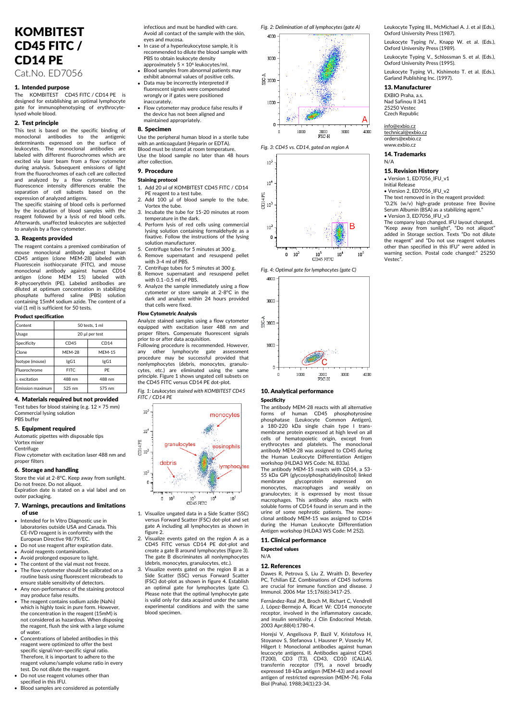# KOMBITEST CD45 FITC / CD14 PE

Cat.No. ED7056

## 1. Intended purpose

The KOMBITEST CD45 FITC / CD14 PE is designed for establishing an optimal lymphocyte gate for immunophenotyping of erythrocytelysed whole blood.

## 2. Test principle

This test is based on the specific binding of monoclonal antibodies to the antigenic determinants expressed on the surface of leukocytes. The monoclonal antibodies labeled with different fluorochromes which are excited via laser beam from a flow cytometer during analysis. Subsequent emissions of light from the fluorochromes of each cell are collected and analyzed by a flow cytometer. The fluorescence intensity differences enable the separation of cell subsets based on the

expression of analyzed antigens. The specific staining of blood cells is performed by the incubation of blood samples with the reagent followed by a lysis of red blood cells. Afterwards, unaffected leukocytes are subjected to analysis by a flow cytometer.

#### 3. Reagents provided

The reagent contains a premixed combination of mouse monoclonal antibody against human CD45 antigen (clone MEM-28) labeled with Fluorescein isothiocyanate (FITC), and mouse monoclonal antibody against human CD14 antigen (clone MEM 15) labeled with R-phycoerythrin (PE). Labeled antibodies are diluted at optimum concentration in stabilizing phosphate buffered saline (PBS) solution containing 15mM sodium azide. The content of a vial (1 ml) is sufficient for 50 tests.

## Product specification

| $.$                     |                |               |
|-------------------------|----------------|---------------|
| Content                 | 50 tests, 1 ml |               |
| Usage                   | 20 µl per test |               |
| Specificity             | CD45           | CD14          |
| Clone                   | <b>MFM-28</b>  | <b>MFM-15</b> |
| Isotype (mouse)         | lgG1           | lgG1          |
| Fluorochrome            | FITC.          | PF            |
| λ excitation            | 488 nm         | 488 nm        |
| <b>Emission maximum</b> | 525 nm         | 575 nm        |

## 4. Materials required but not provided

Test tubes for blood staining (e.g. 12 × 75 mm) Commercial lysing solution PBS buffer

## 5. Equipment required

Automatic pipettes with disposable tips Vortex mixe

**Centrifuge** Flow cytometer with excitation laser 488 nm and proper filters

#### 6. Storage and handling

Store the vial at 2-8°C. Keep away from sunlight. Do not freeze. Do not aliquot. Expiration date is stated on a vial label and on outer packaging.

#### 7. Warnings, precautions and limitations of use

- Intended for In Vitro Diagnostic use in laboratories outside USA and Canada. This CE-IVD reagent is in conformity with the European Directive 98/79/EC.
- Do not use reagent after expiration date.
- Avoid reagents contamination. • Avoid prolonged exposure to light.
- The content of the vial must not freeze
- The flow cytometer should be calibrated on a routine basis using fluorescent microbeads to ensure stable sensitivity of detectors. • Any non-performance of the staining protocol
- may produce false results.
- The reagent contains sodium azide (NaN<sub>3</sub>) which is highly toxic in pure form. Howev the concentration in the reagent (15mM) is not considered as hazardous. When disposing the reagent, flush the sink with a large volume of water.
- Concentrations of labeled antibodies in this reagent were optimized to offer the best specific signal/non-specific signal ratio. Therefore, it is important to adhere to the reagent volume/sample volume ratio in every test. Do not dilute the reagent.
- Do not use reagent volumes other than specified in this IFU.
- Blood samples are considered as potentially

infectious and must be handled with care. Avoid all contact of the sample with the skin, eyes and mucosa.

- In case of a hyperleukocytose sample, it is recommended to dilute the blood sample with PBS to obtain leukocyte density approximately 5 × 10<sup>6</sup> leukocytes/ml.
- Blood samples from abnormal patients may exhibit abnormal values of positive cells.
- Data may be incorrectly interpreted if fluorescent signals were compensated wrongly or if gates were positioned inaccurately.
- Flow cytometer may produce false results if the device has not been aligned and maintained appropriately.

#### 8. Specimen

Use the peripheral human blood in a sterile tube with an anticoagulant (Heparin or EDTA). Blood must be stored at room temperature. Use the blood sample no later than 48 hours after collection.

#### 9. Procedure

#### Staining protocol

- 1. Add 20 µl of KOMBITEST CD45 FITC / CD14 PE reagent to a test tube. 2. Add 100 µl of blood sample to the tube.
- Vortex the tube. 3. Incubate the tube for 15-20 minutes at room
- temperature in the dark.
- 4. Perform lysis of red cells using commercial lysing solution containing formaldehyde as a fixative. Follow the instructions of the lysing solution manufacturer.
- 5. Centrifuge tubes for 5 minutes at 300 g.
- 6. Remove supernatant and resuspend pellet with 3-4 ml of PBS. 7. Centrifuge tubes for 5 minutes at 300 g.
- 8. Remove supernatant and resuspend pellet with 0.1–0.5 ml of PBS.
- 9. Analyze the sample immediately using a flow cytometer or store sample at 2-8°C in the dark and analyze within 24 hours provided that cells were fixed.

#### Flow Cytometric Analysis

Analyze stained samples using a flow cytometer equipped with excitation laser 488 nm and proper filters. Compensate fluorescent signals prior to or after data acquisition.

Following procedure is recommended. However, any other lymphocyte gate assessment procedure may be successful provided that nonlymphocytes (debris, monocytes, granulo-cytes, etc.) are eliminated using the same principle. Figure 1 shows ungated cell subsets on the CD45 FITC versus CD14 PE dot-plot.

*Fig. 1: Leukocytes stained with KOMBITEST CD45 FITC / CD14 PE*



- 1. Visualize ungated data in a Side Scatter (SSC) versus Forward Scatter (FSC) dot-plot and set gate A including all lymphocytes as shown in figure 2.
- 2. Visualize events gated on the region A as a CD45 FITC versus CD14 PE dot-plot and create a gate B around lymphocytes (figure 3). The gate B discriminates all nonlymphocytes (debris, monocytes, granulocytes, etc.).
- 3. Visualize events gated on the region B as a Side Scatter (SSC) versus Forward Scatter (FSC) dot-plot as shown in figure 4. Establish an optimal gate for lymphocytes (gate C). Please note that the optimal lymphocyte gate is valid only for data acquired under the same experimental conditions and with the same blood specimen.

*Fig. 2: Delimination of all lymphocytes (gate A)*



*Fig. 3: CD45 vs. CD14, gated on region A*



*Fig. 4: Optimal gate for lymphocytes (gate C)*



## 10. Analytical performance

Specificity

The antibody MEM-28 reacts with all alternative forms of human CD45 phosphotyrosine phosphatase (Leukocyte Common Antigen), a 180-220 kDa single chain type I trans-membrane protein expressed at high level on all cells of hematopoietic origin, except from erythrocytes and platelets. The monoclonal antibody MEM-28 was assigned to CD45 during the Human Leukocyte Differentiation Antigen workshop (HLDA3 WS Code: NL 833a).

The antibody MEM-15 reacts with CD14, a 53- 55 kDa GPI (glycosylphosphatidylinositol) linked membrane glycoprotein expressed on<br>monocytes, macrophages and weakly on monocytes, macrophages and weakly on granulocytes; it is expressed by most tissue macrophages. This antibody also reacts with soluble forms of CD14 found in serum and in the urine of some nephrotic patients. The monoclonal antibody MEM-15 was assigned to CD14 during the Human Leukocyte Differentiation Antigen workshop (HLDA3 WS Code: M 252).

11. Clinical performance Expected values

## N/A

#### 12. References

Dawes R, Petrova S, Liu Z, Wraith D, Beverley PC, Tchilian EZ. Combinations of CD45 isoforms are crucial for immune function and disease. J Immunol. 2006 Mar 15;176(6):3417-25.

Fernández-Real JM, Broch M, Richart C, Vendrell J, López-Bermejo A, Ricart W: CD14 monocyte receptor, involved in the inflammatory cascade, and insulin sensitivity. J Clin Endocrinol Metab. 2003 Apr;88(4):1780-4.

Horejsi V, Angelisova P, Bazil V, Kristofova H, Stoyanov S, Stefanova I, Hausner P, Vosecky M, Hilgert I: Monoclonal antibodies against human leucocyte antigens. II. Antibodies against CD45 (T200), CD3 (T3), CD43, CD10 (CALLA), transferrin receptor (T9), a novel broadly expressed 18-kDa antigen (MEM-43) and a novel antigen of restricted expression (MEM-74). Folia Biol (Praha). 1988;34(1):23-34. Leukocyte Typing III., McMichael A. J. et al (Eds.), Oxford University Press (1987).

Leukocyte Typing IV., Knapp W. et al. (Eds.), Oxford University Press (1989).

Leukocyte Typing V., Schlossman S. et al. (Eds.), Oxford University Press (1995).

Leukocyte Typing VI., Kishimoto T. et al. (Eds.), Garland Publishing Inc. (1997).

## 13. Manufacturer

EXBIO Praha, a.s. Nad Safinou II 341 25250 Vestec Czech Republic

[info@exbio.cz](mailto:info@exbio.cz) [technical@exbio.cz](mailto:technical@exbio.cz) orders@exbio.cz www.exhio.cz

14. Trademarks

N/A

15. Revision History • Version 1, ED7056, IEU, v1

Initial Release

• Version 2, ED7056\_IFU\_v2 The text removed in in the reagent provided:

"0.2% (w/v) high-grade protease free Bovine Serum Albumin (BSA) as a stabilizing agent." • Version 3, ED7056\_IFU\_v3

The company logo changed. IFU layout changed. "Keep away from sunlight", "Do not aliquot" added in Storage section. Texts "Do not dilute the reagent" and "Do not use reagent volumes other than specified in this IFU" were added in warning section. Postal code changed:" 25250 Vestec